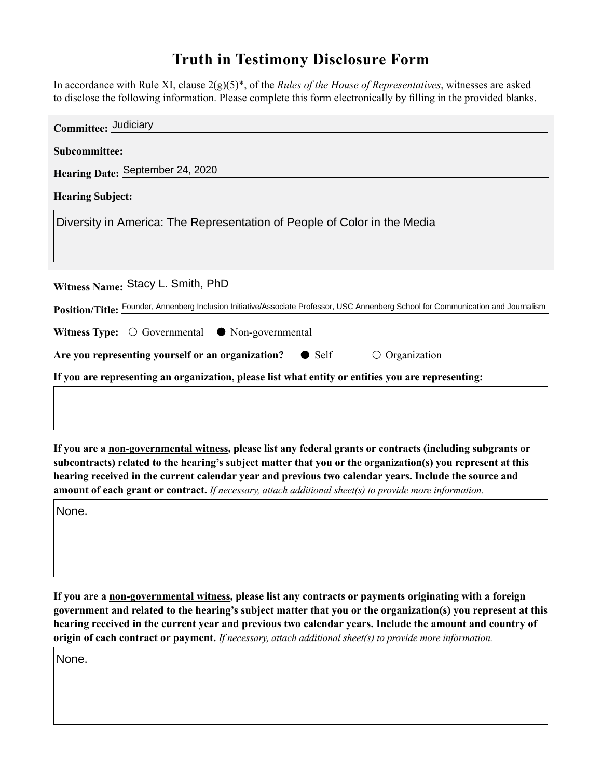## **Truth in Testimony Disclosure Form**

In accordance with Rule XI, clause 2(g)(5)\*, of the *Rules of the House of Representatives*, witnesses are asked to disclose the following information. Please complete this form electronically by filling in the provided blanks.

| Committee: Judiciary                                                                                                               |
|------------------------------------------------------------------------------------------------------------------------------------|
|                                                                                                                                    |
| Hearing Date: September 24, 2020                                                                                                   |
| <b>Hearing Subject:</b>                                                                                                            |
| Diversity in America: The Representation of People of Color in the Media                                                           |
|                                                                                                                                    |
| Witness Name: Stacy L. Smith, PhD                                                                                                  |
| Position/Title: Founder, Annenberg Inclusion Initiative/Associate Professor, USC Annenberg School for Communication and Journalism |
| Witness Type: $\bigcirc$ Governmental $\bullet$ Non-governmental                                                                   |
| Are you representing yourself or an organization? $\bullet$ Self<br>$\circ$ Organization                                           |
| If you are representing an organization, please list what entity or entities you are representing:                                 |
|                                                                                                                                    |

**If you are a non-governmental witness, please list any federal grants or contracts (including subgrants or subcontracts) related to the hearing's subject matter that you or the organization(s) you represent at this hearing received in the current calendar year and previous two calendar years. Include the source and amount of each grant or contract.** *If necessary, attach additional sheet(s) to provide more information.*

None.

**If you are a non-governmental witness, please list any contracts or payments originating with a foreign government and related to the hearing's subject matter that you or the organization(s) you represent at this hearing received in the current year and previous two calendar years. Include the amount and country of origin of each contract or payment.** *If necessary, attach additional sheet(s) to provide more information.*

None.